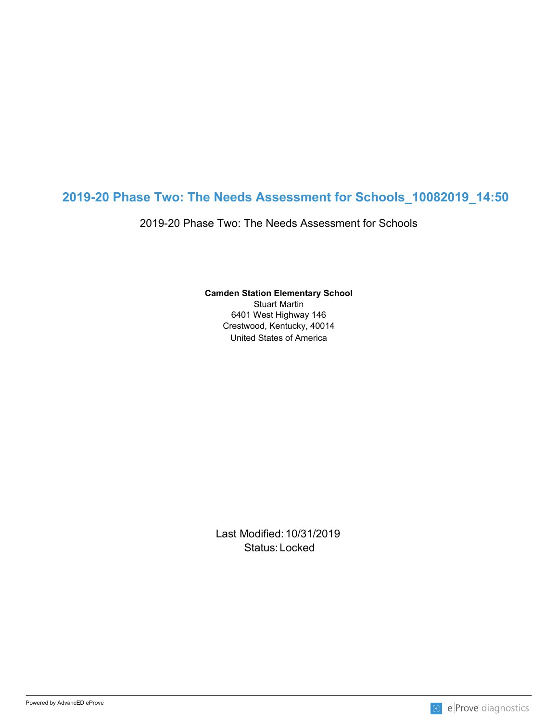# **2019-20 Phase Two: The Needs Assessment for Schools\_10082019\_14:50**

2019-20 Phase Two: The Needs Assessment for Schools

**Camden Station Elementary School**

United States of America Stuart Martin 6401 West Highway 146 Crestwood, Kentucky, 40014

Last Modified: 10/31/2019 Status: Locked and the status of the status of the status of the status of the status of the status of the status of the status of the status of the status of the status of the status of the status of the status of the sta

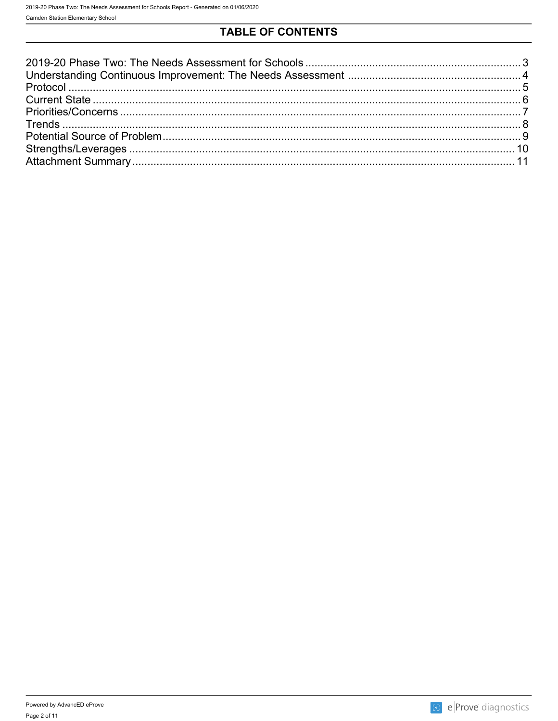## **TABLE OF CONTENTS**

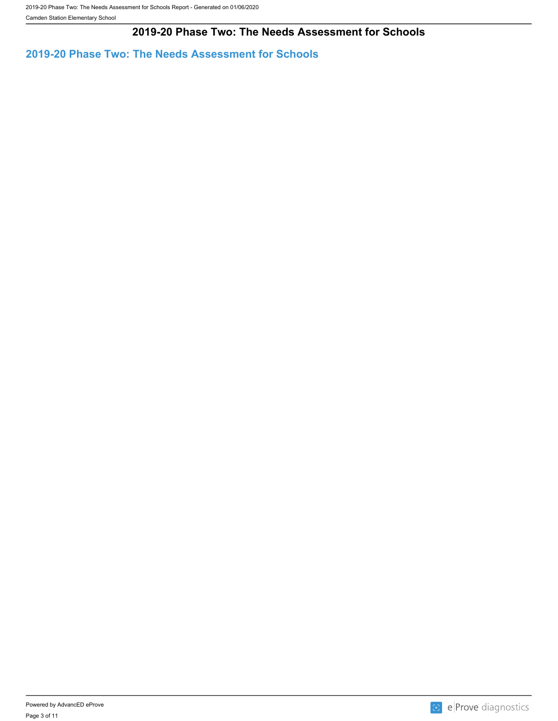Camden Station Elementary School

## **2019-20 Phase Two: The Needs Assessment for Schools**

<span id="page-2-0"></span>**2019-20 Phase Two: The Needs Assessment for Schools**

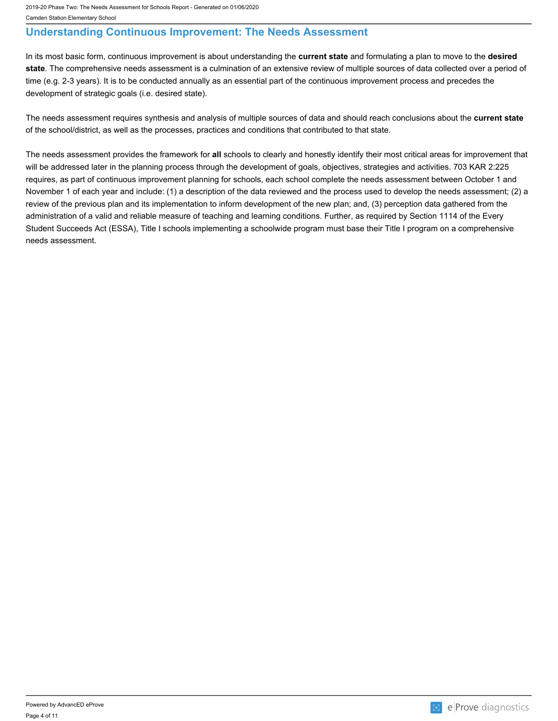### <span id="page-3-0"></span>**Understanding Continuous Improvement: The Needs Assessment**

In its most basic form, continuous improvement is about understanding the **current state** and formulating a plan to move to the **desired state**. The comprehensive needs assessment is a culmination of an extensive review of multiple sources of data collected over a period of time (e.g. 2-3 years). It is to be conducted annually as an essential part of the continuous improvement process and precedes the development of strategic goals (i.e. desired state).

The needs assessment requires synthesis and analysis of multiple sources of data and should reach conclusions about the **current state** of the school/district, as well as the processes, practices and conditions that contributed to that state.

The needs assessment provides the framework for **all** schools to clearly and honestly identify their most critical areas for improvement that will be addressed later in the planning process through the development of goals, objectives, strategies and activities. 703 KAR 2:225 requires, as part of continuous improvement planning for schools, each school complete the needs assessment between October 1 and November 1 of each year and include: (1) a description of the data reviewed and the process used to develop the needs assessment; (2) a review of the previous plan and its implementation to inform development of the new plan; and, (3) perception data gathered from the administration of a valid and reliable measure of teaching and learning conditions. Further, as required by Section 1114 of the Every Student Succeeds Act (ESSA), Title I schools implementing a schoolwide program must base their Title I program on a comprehensive needs assessment.

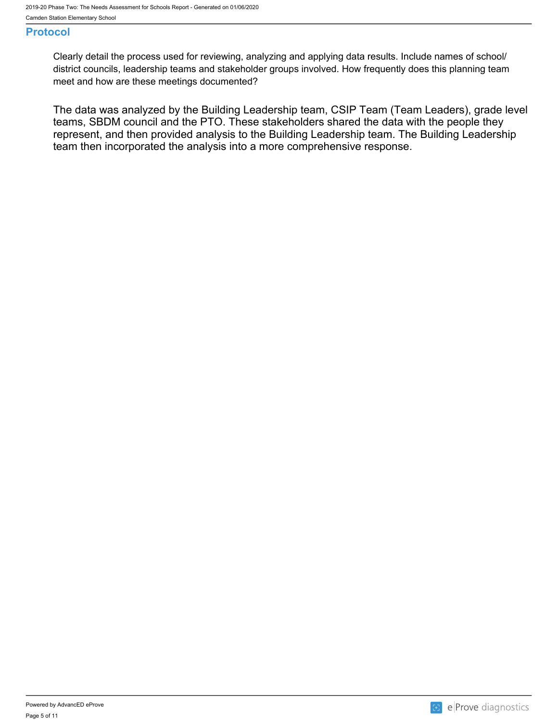### <span id="page-4-0"></span>**Protocol**

Clearly detail the process used for reviewing, analyzing and applying data results. Include names of school/ district councils, leadership teams and stakeholder groups involved. How frequently does this planning team meet and how are these meetings documented?

The data was analyzed by the Building Leadership team, CSIP Team (Team Leaders), grade level teams, SBDM council and the PTO. These stakeholders shared the data with the people they represent, and then provided analysis to the Building Leadership team. The Building Leadership team then incorporated the analysis into a more comprehensive response.

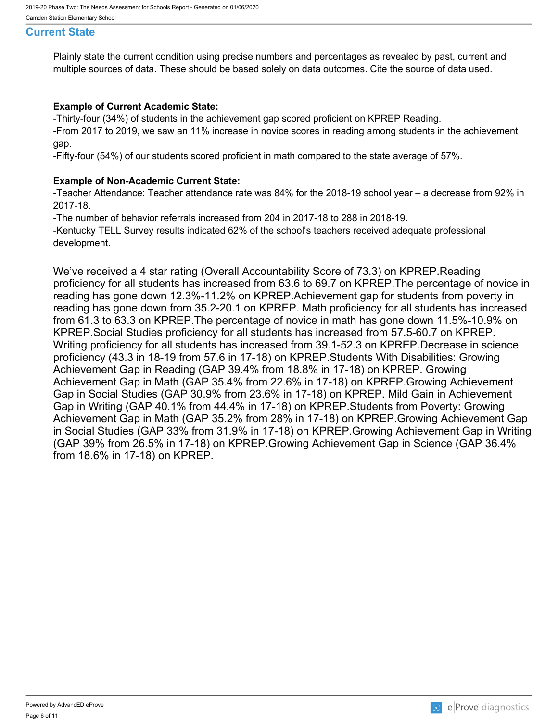### <span id="page-5-0"></span>**Current State**

Plainly state the current condition using precise numbers and percentages as revealed by past, current and multiple sources of data. These should be based solely on data outcomes. Cite the source of data used.

#### **Example of Current Academic State:**

-Thirty-four (34%) of students in the achievement gap scored proficient on KPREP Reading.

-From 2017 to 2019, we saw an 11% increase in novice scores in reading among students in the achievement gap.

-Fifty-four (54%) of our students scored proficient in math compared to the state average of 57%.

#### **Example of Non-Academic Current State:**

-Teacher Attendance: Teacher attendance rate was 84% for the 2018-19 school year – a decrease from 92% in 2017-18.

-The number of behavior referrals increased from 204 in 2017-18 to 288 in 2018-19.

-Kentucky TELL Survey results indicated 62% of the school's teachers received adequate professional development.

We've received a 4 star rating (Overall Accountability Score of 73.3) on KPREP.Reading proficiency for all students has increased from 63.6 to 69.7 on KPREP.The percentage of novice in reading has gone down 12.3%-11.2% on KPREP.Achievement gap for students from poverty in reading has gone down from 35.2-20.1 on KPREP. Math proficiency for all students has increased from 61.3 to 63.3 on KPREP.The percentage of novice in math has gone down 11.5%-10.9% on KPREP.Social Studies proficiency for all students has increased from 57.5-60.7 on KPREP. Writing proficiency for all students has increased from 39.1-52.3 on KPREP.Decrease in science proficiency (43.3 in 18-19 from 57.6 in 17-18) on KPREP.Students With Disabilities: Growing Achievement Gap in Reading (GAP 39.4% from 18.8% in 17-18) on KPREP. Growing Achievement Gap in Math (GAP 35.4% from 22.6% in 17-18) on KPREP.Growing Achievement Gap in Social Studies (GAP 30.9% from 23.6% in 17-18) on KPREP. Mild Gain in Achievement Gap in Writing (GAP 40.1% from 44.4% in 17-18) on KPREP.Students from Poverty: Growing Achievement Gap in Math (GAP 35.2% from 28% in 17-18) on KPREP.Growing Achievement Gap in Social Studies (GAP 33% from 31.9% in 17-18) on KPREP.Growing Achievement Gap in Writing (GAP 39% from 26.5% in 17-18) on KPREP.Growing Achievement Gap in Science (GAP 36.4% from 18.6% in 17-18) on KPREP.

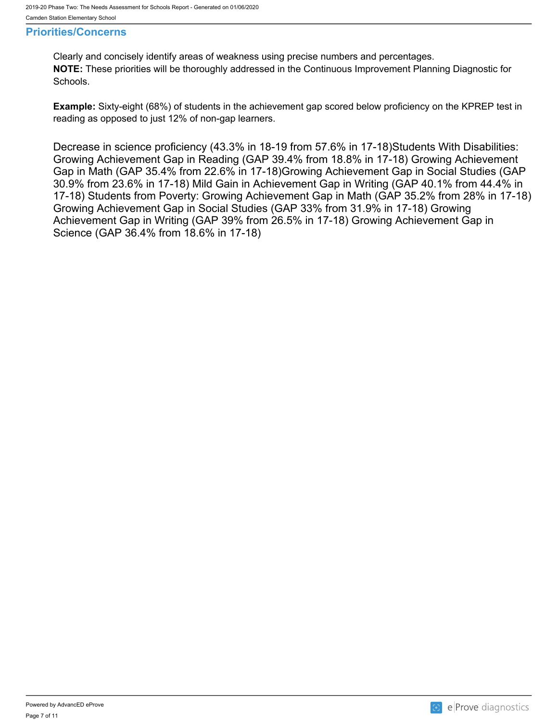#### <span id="page-6-0"></span>**Priorities/Concerns**

Clearly and concisely identify areas of weakness using precise numbers and percentages. **NOTE:** These priorities will be thoroughly addressed in the Continuous Improvement Planning Diagnostic for Schools.

**Example:** Sixty-eight (68%) of students in the achievement gap scored below proficiency on the KPREP test in reading as opposed to just 12% of non-gap learners.

Decrease in science proficiency (43.3% in 18-19 from 57.6% in 17-18)Students With Disabilities: Growing Achievement Gap in Reading (GAP 39.4% from 18.8% in 17-18) Growing Achievement Gap in Math (GAP 35.4% from 22.6% in 17-18)Growing Achievement Gap in Social Studies (GAP 30.9% from 23.6% in 17-18) Mild Gain in Achievement Gap in Writing (GAP 40.1% from 44.4% in 17-18) Students from Poverty: Growing Achievement Gap in Math (GAP 35.2% from 28% in 17-18) Growing Achievement Gap in Social Studies (GAP 33% from 31.9% in 17-18) Growing Achievement Gap in Writing (GAP 39% from 26.5% in 17-18) Growing Achievement Gap in Science (GAP 36.4% from 18.6% in 17-18)

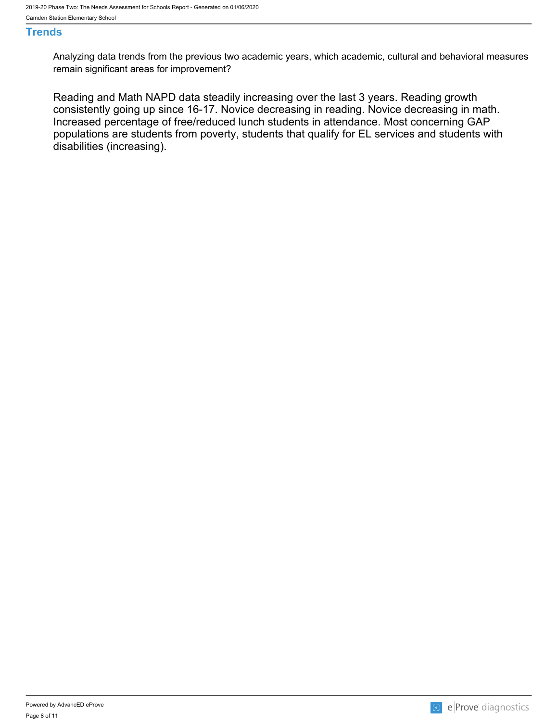#### <span id="page-7-0"></span>**Trends**

Analyzing data trends from the previous two academic years, which academic, cultural and behavioral measures remain significant areas for improvement?

Reading and Math NAPD data steadily increasing over the last 3 years. Reading growth consistently going up since 16-17. Novice decreasing in reading. Novice decreasing in math. Increased percentage of free/reduced lunch students in attendance. Most concerning GAP populations are students from poverty, students that qualify for EL services and students with disabilities (increasing).

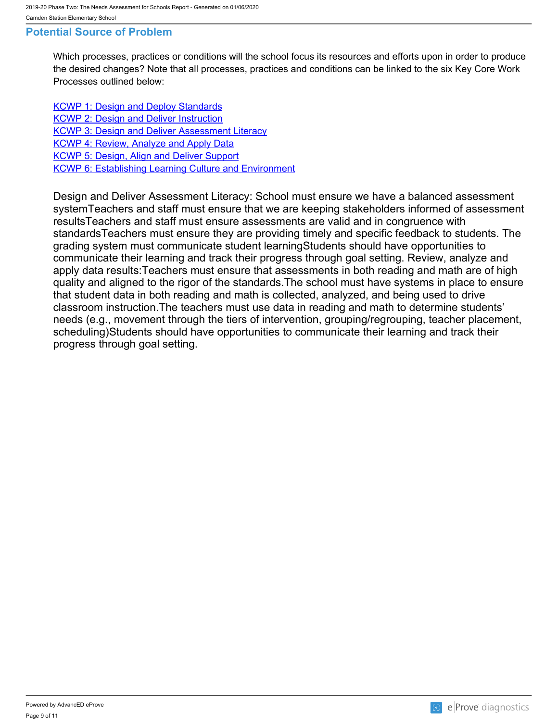#### <span id="page-8-0"></span>**Potential Source of Problem**

Which processes, practices or conditions will the school focus its resources and efforts upon in order to produce the desired changes? Note that all processes, practices and conditions can be linked to the six Key Core Work Processes outlined below:

[KCWP 1: Design and Deploy Standards](https://education.ky.gov/school/csip/Documents/KCWP 1 Strategic Design and Deploy Standards.pdf) [KCWP 2: Design and Deliver Instruction](https://education.ky.gov/school/csip/Documents/KCWP%202%20Strategic%20Design%20and%20Deliver%20Instruction.pdf) **[KCWP 3: Design and Deliver Assessment Literacy](https://education.ky.gov/school/csip/Documents/KCWP%203%20Strategic%20Design%20and%20Deliver%20Assessment%20Literacy.pdf)** [KCWP 4: Review, Analyze and Apply Data](https://education.ky.gov/school/csip/Documents/KCWP 4 Strategic Review Analyze and Apply Data.pdf) [KCWP 5: Design, Align and Deliver Support](https://education.ky.gov/school/csip/Documents/KCWP 5 Strategic Design Align Deliver Support Processes.pdf) [KCWP 6: Establishing Learning Culture and Environment](https://education.ky.gov/school/csip/Documents/KCWP 6 Strategic Establish Learning Culture and Environment.pdf)

Design and Deliver Assessment Literacy: School must ensure we have a balanced assessment systemTeachers and staff must ensure that we are keeping stakeholders informed of assessment resultsTeachers and staff must ensure assessments are valid and in congruence with standardsTeachers must ensure they are providing timely and specific feedback to students. The grading system must communicate student learningStudents should have opportunities to communicate their learning and track their progress through goal setting. Review, analyze and apply data results:Teachers must ensure that assessments in both reading and math are of high quality and aligned to the rigor of the standards.The school must have systems in place to ensure that student data in both reading and math is collected, analyzed, and being used to drive classroom instruction.The teachers must use data in reading and math to determine students' needs (e.g., movement through the tiers of intervention, grouping/regrouping, teacher placement, scheduling)Students should have opportunities to communicate their learning and track their progress through goal setting.

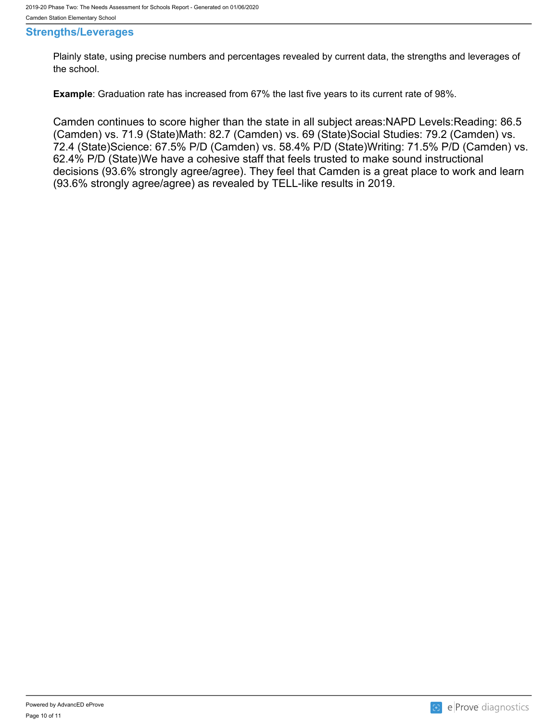#### <span id="page-9-0"></span>**Strengths/Leverages**

Plainly state, using precise numbers and percentages revealed by current data, the strengths and leverages of the school.

**Example**: Graduation rate has increased from 67% the last five years to its current rate of 98%.

Camden continues to score higher than the state in all subject areas:NAPD Levels:Reading: 86.5 (Camden) vs. 71.9 (State)Math: 82.7 (Camden) vs. 69 (State)Social Studies: 79.2 (Camden) vs. 72.4 (State)Science: 67.5% P/D (Camden) vs. 58.4% P/D (State)Writing: 71.5% P/D (Camden) vs. 62.4% P/D (State)We have a cohesive staff that feels trusted to make sound instructional decisions (93.6% strongly agree/agree). They feel that Camden is a great place to work and learn (93.6% strongly agree/agree) as revealed by TELL-like results in 2019.